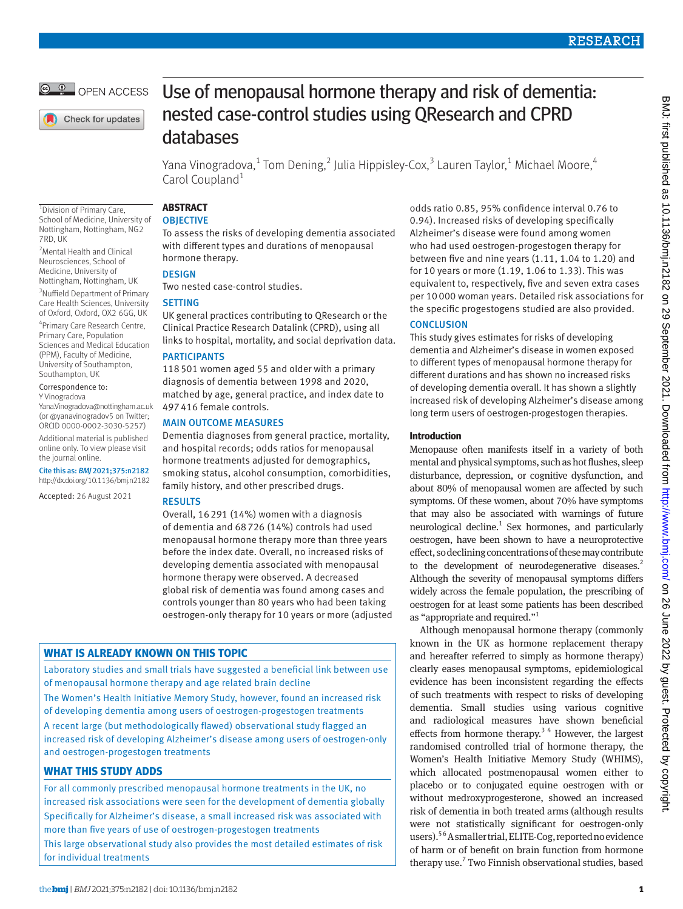$\frac{1}{\pi}$  OPEN ACCESS

Check for updates

1 Division of Primary Care,

2 Mental Health and Clinical Neurosciences, School of Medicine, University of Nottingham, Nottingham, UK 3 Nuffield Department of Primary Care Health Sciences, University of Oxford, Oxford, OX2 6GG, UK 4 Primary Care Research Centre, Primary Care, Population Sciences and Medical Education (PPM), Faculty of Medicine, University of Southampton, Southampton, UK Correspondence to: Y Vinogradova

[Yana.Vinogradova@nottingham.ac.uk](mailto:Yana.Vinogradova@nottingham.ac.uk)  (or [@yanavinogradov5](https://twitter.com/yanavinogradov5) on Twitter; ORCID [0000-0002-3030-5257](https://orcid.org/0000-0002-3030-5257)) Additional material is published online only. To view please visit

Cite this as: *BMJ* 2021;375:n2182 http://dx.doi.org/10.1136/bmj.n2182 Accepted: 26 August 2021

the journal online.

7RD, UK

# Use of menopausal hormone therapy and risk of dementia: nested case-control studies using QResearch and CPRD databases

Yana Vinogradova, $^1$  Tom Dening, $^2$  Julia Hippisley-Cox, $^3$  Lauren Taylor, $^1$  Michael Moore, $^4$ Carol Coupland<sup>1</sup>

#### **ABSTRACT OBJECTIVE** School of Medicine, University of Nottingham, Nottingham, NG2

To assess the risks of developing dementia associated with different types and durations of menopausal hormone therapy.

# **DESIGN**

Two nested case-control studies.

# **SETTING**

UK general practices contributing to QResearch or the Clinical Practice Research Datalink (CPRD), using all links to hospital, mortality, and social deprivation data.

# PARTICIPANTS

118501 women aged 55 and older with a primary diagnosis of dementia between 1998 and 2020, matched by age, general practice, and index date to 497416 female controls.

# MAIN OUTCOME MEASURES

Dementia diagnoses from general practice, mortality, and hospital records; odds ratios for menopausal hormone treatments adjusted for demographics. smoking status, alcohol consumption, comorbidities, family history, and other prescribed drugs.

## RESULTS

Overall, 16291 (14%) women with a diagnosis of dementia and 68726 (14%) controls had used menopausal hormone therapy more than three years before the index date. Overall, no increased risks of developing dementia associated with menopausal hormone therapy were observed. A decreased global risk of dementia was found among cases and controls younger than 80 years who had been taking oestrogen-only therapy for 10 years or more (adjusted

# **WHAT IS ALREADY KNOWN ON THIS TOPIC**

Laboratory studies and small trials have suggested a beneficial link between use of menopausal hormone therapy and age related brain decline The Women's Health Initiative Memory Study, however, found an increased risk of developing dementia among users of oestrogen-progestogen treatments

A recent large (but methodologically flawed) observational study flagged an increased risk of developing Alzheimer's disease among users of oestrogen-only and oestrogen-progestogen treatments

# **WHAT THIS STUDY ADDS**

For all commonly prescribed menopausal hormone treatments in the UK, no increased risk associations were seen for the development of dementia globally Specifically for Alzheimer's disease, a small increased risk was associated with more than five years of use of oestrogen-progestogen treatments

This large observational study also provides the most detailed estimates of risk for individual treatments

odds ratio 0.85, 95% confidence interval 0.76 to 0.94). Increased risks of developing specifically Alzheimer's disease were found among women who had used oestrogen-progestogen therapy for between five and nine years (1.11, 1.04 to 1.20) and for 10 years or more (1.19, 1.06 to 1.33). This was equivalent to, respectively, five and seven extra cases per 10000 woman years. Detailed risk associations for the specific progestogens studied are also provided.

# **CONCLUSION**

This study gives estimates for risks of developing dementia and Alzheimer's disease in women exposed to different types of menopausal hormone therapy for different durations and has shown no increased risks of developing dementia overall. It has shown a slightly increased risk of developing Alzheimer's disease among long term users of oestrogen-progestogen therapies.

# **Introduction**

Menopause often manifests itself in a variety of both mental and physical symptoms, such as hot flushes, sleep disturbance, depression, or cognitive dysfunction, and about 80% of menopausal women are affected by such symptoms. Of these women, about 70% have symptoms that may also be associated with warnings of future neurological decline.<sup>1</sup> Sex hormones, and particularly oestrogen, have been shown to have a neuroprotective effect, so declining concentrations of these may contribute to the development of neurodegenerative diseases.<sup>2</sup> Although the severity of menopausal symptoms differs widely across the female population, the prescribing of oestrogen for at least some patients has been described as "appropriate and required."1

Although menopausal hormone therapy (commonly known in the UK as hormone replacement therapy and hereafter referred to simply as hormone therapy) clearly eases menopausal symptoms, epidemiological evidence has been inconsistent regarding the effects of such treatments with respect to risks of developing dementia. Small studies using various cognitive and radiological measures have shown beneficial effects from hormone therapy. $34$  However, the largest randomised controlled trial of hormone therapy, the Women's Health Initiative Memory Study (WHIMS), which allocated postmenopausal women either to placebo or to conjugated equine oestrogen with or without medroxyprogesterone, showed an increased risk of dementia in both treated arms (although results were not statistically significant for oestrogen-only users).<sup>56</sup> A smaller trial, ELITE-Cog, reported no evidence of harm or of benefit on brain function from hormone therapy use.<sup>7</sup> Two Finnish observational studies, based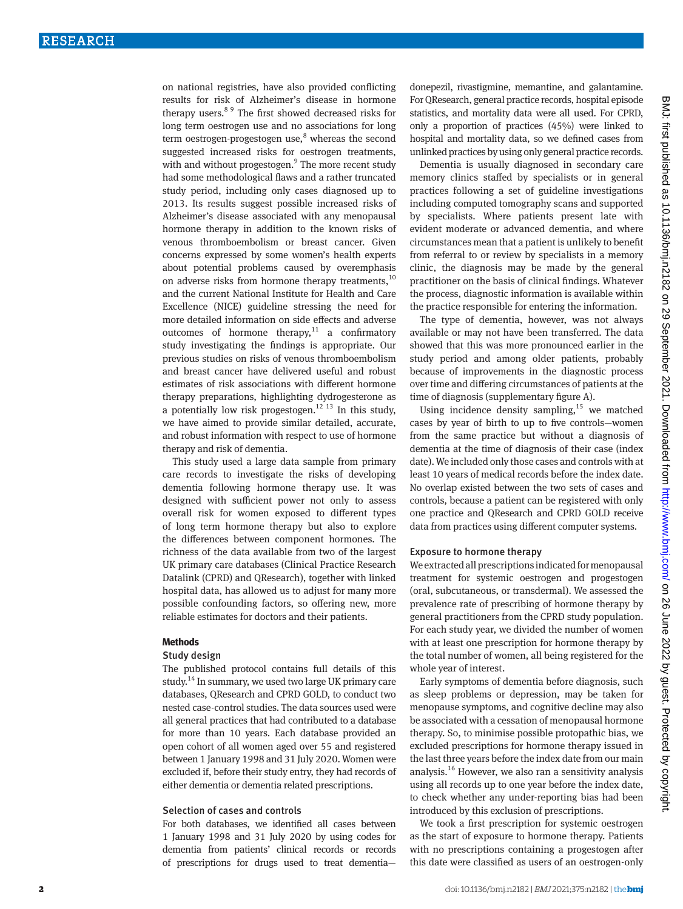on national registries, have also provided conflicting results for risk of Alzheimer's disease in hormone therapy users.8 9 The first showed decreased risks for long term oestrogen use and no associations for long term oestrogen-progestogen use,<sup>8</sup> whereas the second suggested increased risks for oestrogen treatments, with and without progestogen.<sup>9</sup> The more recent study had some methodological flaws and a rather truncated study period, including only cases diagnosed up to 2013. Its results suggest possible increased risks of Alzheimer's disease associated with any menopausal hormone therapy in addition to the known risks of venous thromboembolism or breast cancer. Given concerns expressed by some women's health experts about potential problems caused by overemphasis on adverse risks from hormone therapy treatments, $10$ and the current National Institute for Health and Care Excellence (NICE) guideline stressing the need for more detailed information on side effects and adverse outcomes of hormone therapy, $11$  a confirmatory study investigating the findings is appropriate. Our previous studies on risks of venous thromboembolism and breast cancer have delivered useful and robust estimates of risk associations with different hormone therapy preparations, highlighting dydrogesterone as a potentially low risk progestogen.<sup>12 13</sup> In this study, we have aimed to provide similar detailed, accurate, and robust information with respect to use of hormone therapy and risk of dementia.

This study used a large data sample from primary care records to investigate the risks of developing dementia following hormone therapy use. It was designed with sufficient power not only to assess overall risk for women exposed to different types of long term hormone therapy but also to explore the differences between component hormones. The richness of the data available from two of the largest UK primary care databases (Clinical Practice Research Datalink (CPRD) and QResearch), together with linked hospital data, has allowed us to adjust for many more possible confounding factors, so offering new, more reliable estimates for doctors and their patients.

#### **Methods**

## Study design

The published protocol contains full details of this study.<sup>14</sup> In summary, we used two large UK primary care databases, QResearch and CPRD GOLD, to conduct two nested case-control studies. The data sources used were all general practices that had contributed to a database for more than 10 years. Each database provided an open cohort of all women aged over 55 and registered between 1 January 1998 and 31 July 2020. Women were excluded if, before their study entry, they had records of either dementia or dementia related prescriptions.

#### Selection of cases and controls

For both databases, we identified all cases between 1 January 1998 and 31 July 2020 by using codes for dementia from patients' clinical records or records of prescriptions for drugs used to treat dementiadonepezil, rivastigmine, memantine, and galantamine. For QResearch, general practice records, hospital episode statistics, and mortality data were all used. For CPRD, only a proportion of practices (45%) were linked to hospital and mortality data, so we defined cases from unlinked practices by using only general practice records.

Dementia is usually diagnosed in secondary care memory clinics staffed by specialists or in general practices following a set of guideline investigations including computed tomography scans and supported by specialists. Where patients present late with evident moderate or advanced dementia, and where circumstances mean that a patient is unlikely to benefit from referral to or review by specialists in a memory clinic, the diagnosis may be made by the general practitioner on the basis of clinical findings. Whatever the process, diagnostic information is available within the practice responsible for entering the information.

The type of dementia, however, was not always available or may not have been transferred. The data showed that this was more pronounced earlier in the study period and among older patients, probably because of improvements in the diagnostic process over time and differing circumstances of patients at the time of diagnosis (supplementary figure A).

Using incidence density sampling, $15$  we matched cases by year of birth to up to five controls—women from the same practice but without a diagnosis of dementia at the time of diagnosis of their case (index date). We included only those cases and controls with at least 10 years of medical records before the index date. No overlap existed between the two sets of cases and controls, because a patient can be registered with only one practice and QResearch and CPRD GOLD receive data from practices using different computer systems.

#### Exposure to hormone therapy

We extracted all prescriptions indicated for menopausal treatment for systemic oestrogen and progestogen (oral, subcutaneous, or transdermal). We assessed the prevalence rate of prescribing of hormone therapy by general practitioners from the CPRD study population. For each study year, we divided the number of women with at least one prescription for hormone therapy by the total number of women, all being registered for the whole year of interest.

Early symptoms of dementia before diagnosis, such as sleep problems or depression, may be taken for menopause symptoms, and cognitive decline may also be associated with a cessation of menopausal hormone therapy. So, to minimise possible protopathic bias, we excluded prescriptions for hormone therapy issued in the last three years before the index date from our main analysis.16 However, we also ran a sensitivity analysis using all records up to one year before the index date, to check whether any under-reporting bias had been introduced by this exclusion of prescriptions.

We took a first prescription for systemic oestrogen as the start of exposure to hormone therapy. Patients with no prescriptions containing a progestogen after this date were classified as users of an oestrogen-only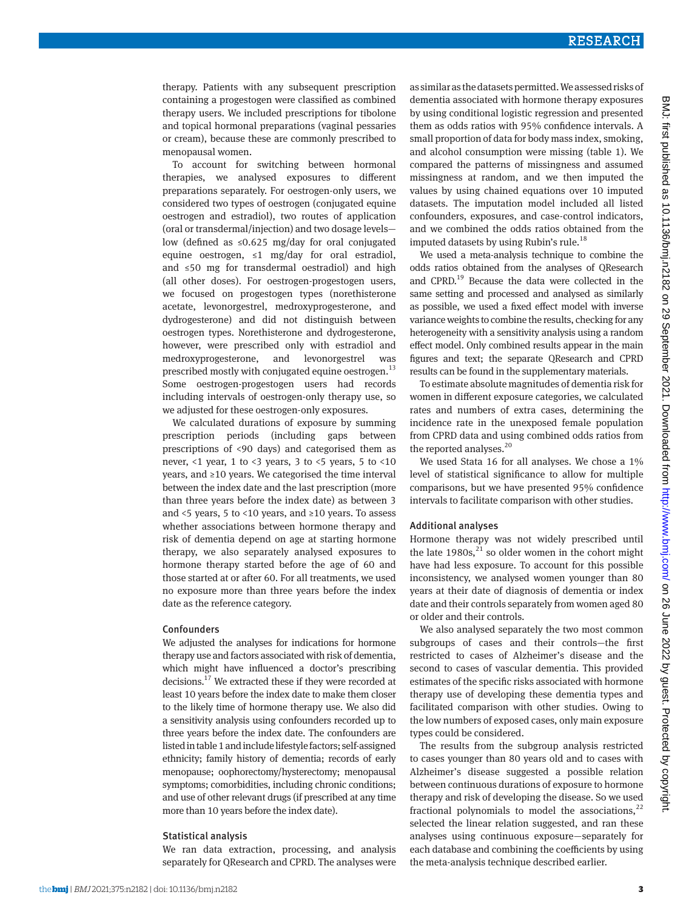therapy. Patients with any subsequent prescription containing a progestogen were classified as combined therapy users. We included prescriptions for tibolone and topical hormonal preparations (vaginal pessaries or cream), because these are commonly prescribed to menopausal women.

To account for switching between hormonal therapies, we analysed exposures to different preparations separately. For oestrogen-only users, we considered two types of oestrogen (conjugated equine oestrogen and estradiol), two routes of application (oral or transdermal/injection) and two dosage levels low (defined as ≤0.625 mg/day for oral conjugated equine oestrogen, ≤1 mg/day for oral estradiol, and ≤50 mg for transdermal oestradiol) and high (all other doses). For oestrogen-progestogen users, we focused on progestogen types (norethisterone acetate, levonorgestrel, medroxyprogesterone, and dydrogesterone) and did not distinguish between oestrogen types. Norethisterone and dydrogesterone, however, were prescribed only with estradiol and medroxyprogesterone, and levonorgestrel was prescribed mostly with conjugated equine oestrogen.<sup>13</sup> Some oestrogen-progestogen users had records including intervals of oestrogen-only therapy use, so we adjusted for these oestrogen-only exposures.

We calculated durations of exposure by summing prescription periods (including gaps between prescriptions of <90 days) and categorised them as never,  $<1$  year,  $1$  to  $<3$  years,  $3$  to  $<5$  years,  $5$  to  $<10$ years, and ≥10 years. We categorised the time interval between the index date and the last prescription (more than three years before the index date) as between 3 and <5 years, 5 to <10 years, and ≥10 years. To assess whether associations between hormone therapy and risk of dementia depend on age at starting hormone therapy, we also separately analysed exposures to hormone therapy started before the age of 60 and those started at or after 60. For all treatments, we used no exposure more than three years before the index date as the reference category.

#### **Confounders**

We adjusted the analyses for indications for hormone therapy use and factors associated with risk of dementia, which might have influenced a doctor's prescribing decisions.17 We extracted these if they were recorded at least 10 years before the index date to make them closer to the likely time of hormone therapy use. We also did a sensitivity analysis using confounders recorded up to three years before the index date. The confounders are listed in table 1 and include lifestyle factors; self-assigned ethnicity; family history of dementia; records of early menopause; oophorectomy/hysterectomy; menopausal symptoms; comorbidities, including chronic conditions; and use of other relevant drugs (if prescribed at any time more than 10 years before the index date).

## Statistical analysis

We ran data extraction, processing, and analysis separately for QResearch and CPRD. The analyses were

as similar as the datasets permitted. We assessed risks of dementia associated with hormone therapy exposures by using conditional logistic regression and presented them as odds ratios with 95% confidence intervals. A small proportion of data for body mass index, smoking, and alcohol consumption were missing (table 1). We compared the patterns of missingness and assumed missingness at random, and we then imputed the values by using chained equations over 10 imputed datasets. The imputation model included all listed confounders, exposures, and case-control indicators, and we combined the odds ratios obtained from the imputed datasets by using Rubin's rule.<sup>18</sup>

We used a meta-analysis technique to combine the odds ratios obtained from the analyses of QResearch and CPRD.<sup>19</sup> Because the data were collected in the same setting and processed and analysed as similarly as possible, we used a fixed effect model with inverse variance weights to combine the results, checking for any heterogeneity with a sensitivity analysis using a random effect model. Only combined results appear in the main figures and text; the separate QResearch and CPRD results can be found in the supplementary materials.

To estimate absolute magnitudes of dementia risk for women in different exposure categories, we calculated rates and numbers of extra cases, determining the incidence rate in the unexposed female population from CPRD data and using combined odds ratios from the reported analyses.<sup>20</sup>

We used Stata 16 for all analyses. We chose a 1% level of statistical significance to allow for multiple comparisons, but we have presented 95% confidence intervals to facilitate comparison with other studies.

#### Additional analyses

Hormone therapy was not widely prescribed until the late  $1980s$ ,<sup>21</sup> so older women in the cohort might have had less exposure. To account for this possible inconsistency, we analysed women younger than 80 years at their date of diagnosis of dementia or index date and their controls separately from women aged 80 or older and their controls.

We also analysed separately the two most common subgroups of cases and their controls—the first restricted to cases of Alzheimer's disease and the second to cases of vascular dementia. This provided estimates of the specific risks associated with hormone therapy use of developing these dementia types and facilitated comparison with other studies. Owing to the low numbers of exposed cases, only main exposure types could be considered.

The results from the subgroup analysis restricted to cases younger than 80 years old and to cases with Alzheimer's disease suggested a possible relation between continuous durations of exposure to hormone therapy and risk of developing the disease. So we used fractional polynomials to model the associations, $^{22}$ selected the linear relation suggested, and ran these analyses using continuous exposure—separately for each database and combining the coefficients by using the meta-analysis technique described earlier.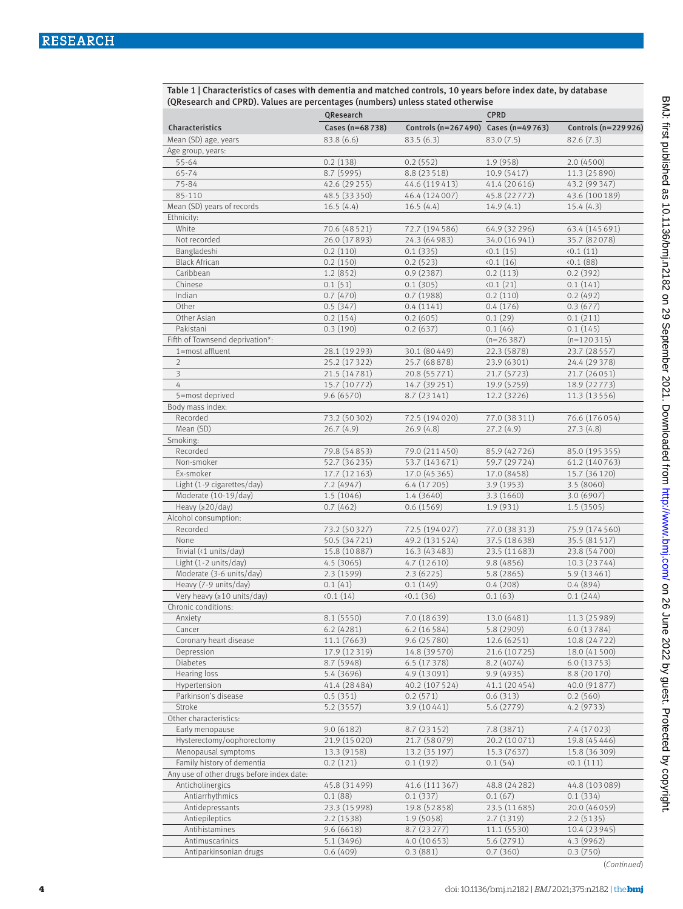| Table 1   Characteristics of cases with dementia and matched controls, 10 years before index date, by database |
|----------------------------------------------------------------------------------------------------------------|
| (QResearch and CPRD). Values are percentages (numbers) unless stated otherwise                                 |

|                                           | QResearch       |                                       | <b>CPRD</b>                |                               |  |  |
|-------------------------------------------|-----------------|---------------------------------------|----------------------------|-------------------------------|--|--|
| Characteristics                           | Cases (n=68738) | Controls (n=267 490) Cases (n=49 763) |                            | Controls (n=229926)           |  |  |
| Mean (SD) age, years                      | 83.8(6.6)       | 83.5(6.3)                             | 83.0(7.5)                  | 82.6(7.3)                     |  |  |
| Age group, years:                         |                 |                                       |                            |                               |  |  |
| 55-64                                     | 0.2(138)        | 0.2(552)                              | 1.9(958)                   | 2.0(4500)                     |  |  |
| 65-74                                     | 8.7 (5995)      | 8.8 (23 5 18)                         | 10.9(5417)                 | 11.3 (25 890)                 |  |  |
| 75-84                                     | 42.6 (29 255)   | 44.6 (119413)                         | 41.4 (20616)               | 43.2 (99 347)                 |  |  |
| 85-110                                    | 48.5 (33350)    | 46.4 (124007)                         | 45.8 (22772)               | 43.6 (100 189)                |  |  |
| Mean (SD) years of records                | 16.5(4.4)       | 16.5(4.4)                             | 14.9(4.1)                  | 15.4(4.3)                     |  |  |
| Ethnicity:                                |                 |                                       |                            |                               |  |  |
| White                                     | 70.6 (48521)    | 72.7 (194586)                         | 64.9 (32 296)              | 63.4 (145 691)                |  |  |
| Not recorded                              | 26.0 (17893)    | 24.3 (64 983)                         | 34.0 (16 941)              | 35.7 (82078)                  |  |  |
| Bangladeshi                               | 0.2(110)        | 0.1(335)                              | (0.1(15))                  | (0.1(11))                     |  |  |
| <b>Black African</b>                      | 0.2(150)        | 0.2(523)                              | (0.1(16))                  | (0.1(88))                     |  |  |
| Caribbean                                 | 1.2(852)        | 0.9(2387)                             | 0.2(113)                   | 0.2(392)                      |  |  |
| Chinese                                   | 0.1(51)         | 0.1(305)                              | (0.1(21))                  | 0.1(141)                      |  |  |
| Indian                                    | 0.7(470)        | 0.7(1988)                             | 0.2(110)                   | 0.2(492)                      |  |  |
| Other                                     | 0.5(347)        | 0.4(1141)                             | 0.4(176)                   | 0.3(677)                      |  |  |
| Other Asian                               | 0.2(154)        | 0.2(605)                              | 0.1(29)                    | 0.1(211)                      |  |  |
| Pakistani                                 | 0.3(190)        | 0.2(637)                              | 0.1(46)                    | 0.1(145)                      |  |  |
| Fifth of Townsend deprivation*:           |                 |                                       | $(n=26387)$                | $(n=120315)$                  |  |  |
| 1=most affluent                           | 28.1 (19 293)   | 30.1 (80 4 49)                        | 22.3 (5878)                | 23.7 (28 5 57)                |  |  |
| $\overline{2}$                            | 25.2 (17 322)   | 25.7 (68878)                          | 23.9 (6301)                | 24.4 (29 378)                 |  |  |
| 3                                         | 21.5 (14781)    | 20.8 (55771)                          | 21.7 (5723)                | 21.7 (26 05 1)                |  |  |
| 4                                         | 15.7 (10772)    |                                       |                            |                               |  |  |
| 5=most deprived                           | 9.6(6570)       | 14.7 (39 25 1)<br>8.7(23141)          | 19.9 (5259)<br>12.2 (3226) | 18.9 (22773)<br>11.3 (13 556) |  |  |
| Body mass index:                          |                 |                                       |                            |                               |  |  |
| Recorded                                  | 73.2 (50302)    | 72.5 (194020)                         | 77.0 (38 311)              | 76.6 (176054)                 |  |  |
| Mean (SD)                                 | 26.7(4.9)       | 26.9(4.8)                             | 27.2(4.9)                  | 27.3(4.8)                     |  |  |
|                                           |                 |                                       |                            |                               |  |  |
| Smoking:<br>Recorded                      | 79.8 (54853)    | 79.0 (211450)                         | 85.9 (42726)               | 85.0 (195 355)                |  |  |
| Non-smoker                                | 52.7 (36 235)   | 53.7 (143671)                         | 59.7 (29724)               | 61.2 (140 763)                |  |  |
| Ex-smoker                                 | 17.7 (12 163)   | 17.0 (45 365)                         | 17.0 (8458)                | 15.7 (36 120)                 |  |  |
| Light (1-9 cigarettes/day)                | 7.2(4947)       | 6.4(17205)                            | 3.9(1953)                  | 3.5(8060)                     |  |  |
| Moderate (10-19/day)                      | 1.5(1046)       | 1.4 (3640)                            | 3.3(1660)                  | 3.0(6907)                     |  |  |
| Heavy $(20/day)$                          | 0.7(462)        | 0.6(1569)                             | 1.9(931)                   | 1.5(3505)                     |  |  |
| Alcohol consumption:                      |                 |                                       |                            |                               |  |  |
| Recorded                                  | 73.2 (50327)    | 72.5 (194027)                         | 77.0 (38313)               | 75.9 (174560)                 |  |  |
| None                                      | 50.5 (34721)    | 49.2 (131524)                         | 37.5 (18638)               | 35.5 (81517)                  |  |  |
| Trivial (<1 units/day)                    | 15.8 (10887)    | 16.3 (43 483)                         | 23.5 (11683)               | 23.8 (54700)                  |  |  |
| Light $(1-2 \text{ units/day})$           | 4.5(3065)       | 4.7(12610)                            | 9.8(4856)                  | 10.3 (23744)                  |  |  |
| Moderate (3-6 units/day)                  | 2.3(1599)       | 2.3(6225)                             | 5.8(2865)                  | 5.9 (13461)                   |  |  |
| Heavy (7-9 units/day)                     | 0.1(41)         | 0.1(149)                              | 0.4(208)                   | 0.4(894)                      |  |  |
| Very heavy ( $\geq 10$ units/day)         | (0.1(14))       | (0.1(36))                             | 0.1(63)                    | 0.1(244)                      |  |  |
| Chronic conditions:                       |                 |                                       |                            |                               |  |  |
| Anxiety                                   | 8.1(5550)       | 7.0(18639)                            | 13.0 (6481)                | 11.3 (25 989)                 |  |  |
| Cancer                                    | 6.2(4281)       | 6.2(16584)                            | 5.8 (2909)                 | 6.0 (13784)                   |  |  |
| Coronary heart disease                    | 11.1 (7663)     | 9.6(25780)                            | 12.6 (6251)                | 10.8 (24722)                  |  |  |
| Depression                                | 17.9 (12319)    | 14.8 (39 5 70)                        | 21.6 (10725)               | 18.0 (41 500)                 |  |  |
| Diabetes                                  | 8.7(5948)       | 6.5(17378)                            | 8.2(4074)                  | 6.0(13753)                    |  |  |
| Hearing loss                              | 5.4 (3696)      | 4.9(13091)                            | 9.9 (4935)                 | 8.8 (20170)                   |  |  |
| Hypertension                              | 41.4 (28 48 4)  | 40.2 (107 5 24)                       | 41.1 (20454)               | 40.0 (91877)                  |  |  |
| Parkinson's disease                       | 0.5(351)        | 0.2(571)                              | 0.6(313)                   | 0.2(560)                      |  |  |
| Stroke                                    | 5.2(3557)       | 3.9 (10441)                           | 5.6 (2779)                 | 4.2 (9733)                    |  |  |
| Other characteristics:                    |                 |                                       |                            |                               |  |  |
| Early menopause                           | 9.0 (6182)      | 8.7(23152)                            | 7.8 (3871)                 | 7.4 (17023)                   |  |  |
| Hysterectomy/oophorectomy                 | 21.9 (15 0 20)  | 21.7 (58079)                          | 20.2 (10071)               | 19.8 (45 4 46)                |  |  |
| Menopausal symptoms                       | 13.3 (9158)     | 13.2 (35 197)                         | 15.3 (7637)                | 15.8 (36 309)                 |  |  |
| Family history of dementia                | 0.2(121)        | 0.1(192)                              | 0.1(54)                    | (0.1(111))                    |  |  |
| Any use of other drugs before index date: |                 |                                       |                            |                               |  |  |
| Anticholinergics                          | 45.8 (31 499)   | 41.6 (111 367)                        | 48.8 (24 28 2)             | 44.8 (103089)                 |  |  |
| Antiarrhythmics                           | 0.1(88)         | 0.1(337)                              | 0.1(67)                    | 0.1(334)                      |  |  |
| Antidepressants                           | 23.3 (15 998)   | 19.8 (52858)                          | 23.5 (11685)               | 20.0 (46 059)                 |  |  |
| Antiepileptics                            | 2.2(1538)       | 1.9(5058)                             | 2.7(1319)                  | 2.2(5135)                     |  |  |
| Antihistamines                            | 9.6(6618)       | 8.7(23277)                            | 11.1 (5530)                | 10.4 (23 945)                 |  |  |
| Antimuscarinics                           | 5.1 (3496)      | 4.0(10653)                            | 5.6 (2791)                 | 4.3 (9962)                    |  |  |
| Antiparkinsonian drugs                    | 0.6(409)        | 0.3(881)                              | 0.7(360)                   | 0.3(750)                      |  |  |
|                                           |                 |                                       |                            | (Continued)                   |  |  |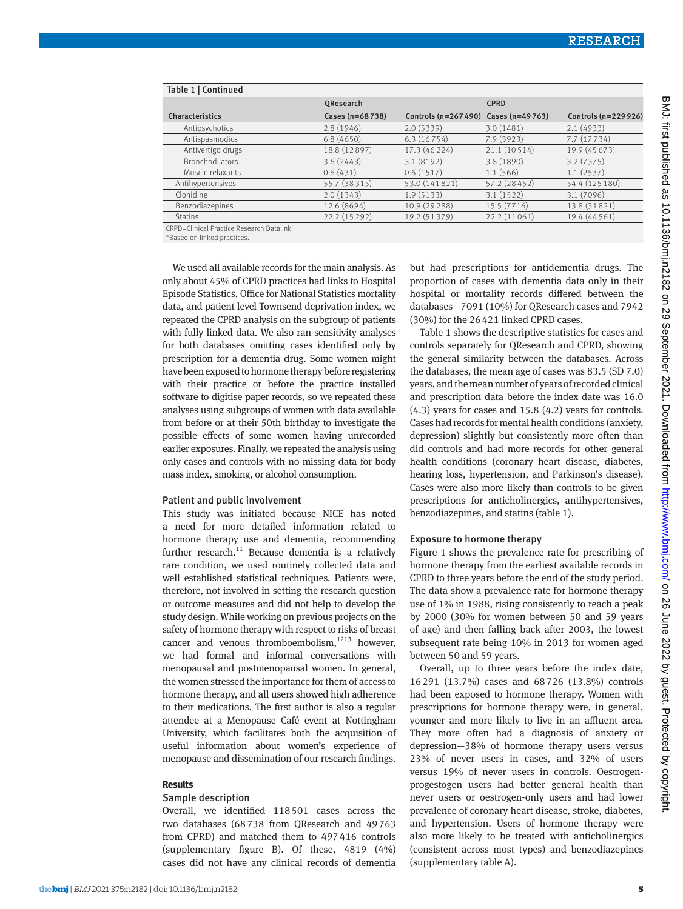| Table 1   Continued    |                  |                                       |               |                      |  |  |  |  |
|------------------------|------------------|---------------------------------------|---------------|----------------------|--|--|--|--|
|                        | QResearch        |                                       | <b>CPRD</b>   |                      |  |  |  |  |
| Characteristics        | Cases (n=68 738) | Controls (n=267 490) Cases (n=49 763) |               | Controls (n=229 926) |  |  |  |  |
| Antipsychotics         | 2.8(1946)        | 2.0(5339)                             | 3.0(1481)     | 2.1(4933)            |  |  |  |  |
| Antispasmodics         | 6.8(4650)        | 6.3(16754)                            | 7.9(3923)     | 7.7(17734)           |  |  |  |  |
| Antivertigo drugs      | 18.8 (12897)     | 17.3 (46 224)                         | 21.1 (10514)  | 19.9 (45 673)        |  |  |  |  |
| <b>Bronchodilators</b> | 3.6(2443)        | 3.1(8192)                             | 3.8(1890)     | 3.2(7375)            |  |  |  |  |
| Muscle relaxants       | 0.6(431)         | 0.6(1517)                             | 1.1(566)      | 1.1(2537)            |  |  |  |  |
| Antihypertensives      | 55.7 (38315)     | 53.0 (141821)                         | 57.2 (28 452) | 54.4 (125 180)       |  |  |  |  |
| Clonidine              | 2.0(1343)        | 1.9(5133)                             | 3.1(1522)     | 3.1(7096)            |  |  |  |  |
| Benzodiazepines        | 12.6 (8694)      | 10.9 (29 288)                         | 15.5 (7716)   | 13.8 (31821)         |  |  |  |  |
| <b>Statins</b>         | 22.2 (15 29 2)   | 19.2 (51379)                          | 22.2 (11061)  | 19.4 (44 5 61)       |  |  |  |  |

CRPD=Clinical Practice Research Datalink.

\*Based on linked practices.

We used all available records for the main analysis. As only about 45% of CPRD practices had links to Hospital Episode Statistics, Office for National Statistics mortality data, and patient level Townsend deprivation index, we repeated the CPRD analysis on the subgroup of patients with fully linked data. We also ran sensitivity analyses for both databases omitting cases identified only by prescription for a dementia drug. Some women might have been exposed to hormone therapy before registering with their practice or before the practice installed software to digitise paper records, so we repeated these analyses using subgroups of women with data available from before or at their 50th birthday to investigate the possible effects of some women having unrecorded earlier exposures. Finally, we repeated the analysis using only cases and controls with no missing data for body mass index, smoking, or alcohol consumption.

#### Patient and public involvement

This study was initiated because NICE has noted a need for more detailed information related to hormone therapy use and dementia, recommending further research. $11$  Because dementia is a relatively rare condition, we used routinely collected data and well established statistical techniques. Patients were, therefore, not involved in setting the research question or outcome measures and did not help to develop the study design. While working on previous projects on the safety of hormone therapy with respect to risks of breast cancer and venous thromboembolism, $1213$  however, we had formal and informal conversations with menopausal and postmenopausal women. In general, the women stressed the importance for them of access to hormone therapy, and all users showed high adherence to their medications. The first author is also a regular attendee at a Menopause Café event at Nottingham University, which facilitates both the acquisition of useful information about women's experience of menopause and dissemination of our research findings.

## **Results**

## Sample description

Overall, we identified 118501 cases across the two databases (68738 from QResearch and 49763 from CPRD) and matched them to 497416 controls (supplementary figure B). Of these, 4819 (4%) cases did not have any clinical records of dementia but had prescriptions for antidementia drugs. The proportion of cases with dementia data only in their hospital or mortality records differed between the databases—7091 (10%) for QResearch cases and 7942 (30%) for the 26421 linked CPRD cases.

Table 1 shows the descriptive statistics for cases and controls separately for QResearch and CPRD, showing the general similarity between the databases. Across the databases, the mean age of cases was 83.5 (SD 7.0) years, and the mean number of years of recorded clinical and prescription data before the index date was 16.0 (4.3) years for cases and 15.8 (4.2) years for controls. Cases had records for mental health conditions (anxiety, depression) slightly but consistently more often than did controls and had more records for other general health conditions (coronary heart disease, diabetes, hearing loss, hypertension, and Parkinson's disease). Cases were also more likely than controls to be given prescriptions for anticholinergics, antihypertensives, benzodiazepines, and statins (table 1).

#### Exposure to hormone therapy

Figure 1 shows the prevalence rate for prescribing of hormone therapy from the earliest available records in CPRD to three years before the end of the study period. The data show a prevalence rate for hormone therapy use of 1% in 1988, rising consistently to reach a peak by 2000 (30% for women between 50 and 59 years of age) and then falling back after 2003, the lowest subsequent rate being 10% in 2013 for women aged between 50 and 59 years.

Overall, up to three years before the index date, 16291 (13.7%) cases and 68726 (13.8%) controls had been exposed to hormone therapy. Women with prescriptions for hormone therapy were, in general, younger and more likely to live in an affluent area. They more often had a diagnosis of anxiety or depression—38% of hormone therapy users versus 23% of never users in cases, and 32% of users versus 19% of never users in controls. Oestrogenprogestogen users had better general health than never users or oestrogen-only users and had lower prevalence of coronary heart disease, stroke, diabetes, and hypertension. Users of hormone therapy were also more likely to be treated with anticholinergics (consistent across most types) and benzodiazepines (supplementary table A).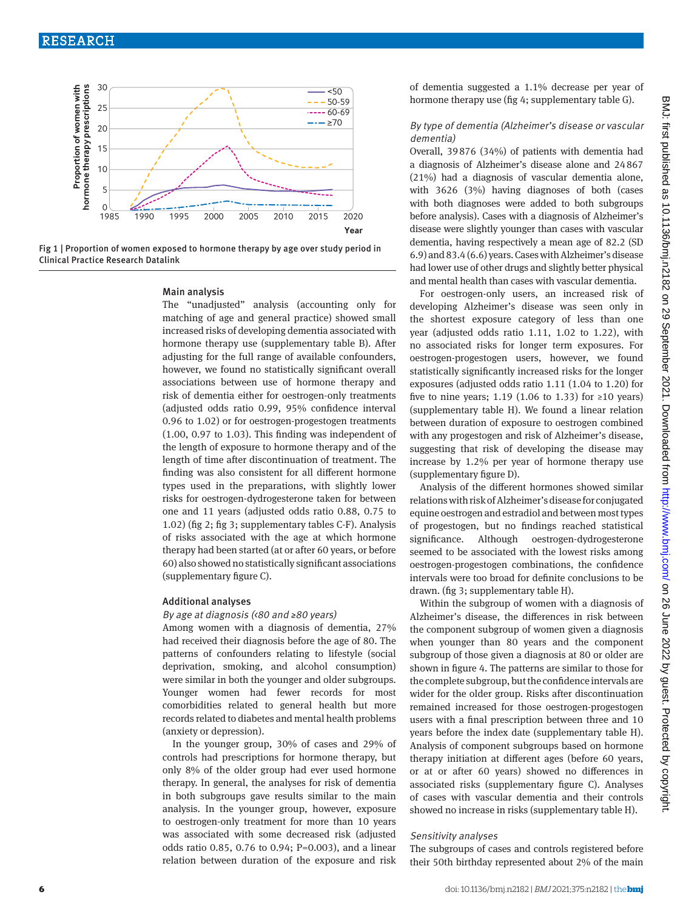

Fig 1 | Proportion of women exposed to hormone therapy by age over study period in Clinical Practice Research Datalink

#### Main analysis

The "unadjusted" analysis (accounting only for matching of age and general practice) showed small increased risks of developing dementia associated with hormone therapy use (supplementary table B). After adjusting for the full range of available confounders, however, we found no statistically significant overall associations between use of hormone therapy and risk of dementia either for oestrogen-only treatments (adjusted odds ratio 0.99, 95% confidence interval 0.96 to 1.02) or for oestrogen-progestogen treatments (1.00, 0.97 to 1.03). This finding was independent of the length of exposure to hormone therapy and of the length of time after discontinuation of treatment. The finding was also consistent for all different hormone types used in the preparations, with slightly lower risks for oestrogen-dydrogesterone taken for between one and 11 years (adjusted odds ratio 0.88, 0.75 to 1.02) (fig 2; fig 3; supplementary tables C-F). Analysis of risks associated with the age at which hormone therapy had been started (at or after 60 years, or before 60) also showed no statistically significant associations (supplementary figure C).

#### Additional analyses

#### By age at diagnosis (<80 and ≥80 years)

Among women with a diagnosis of dementia, 27% had received their diagnosis before the age of 80. The patterns of confounders relating to lifestyle (social deprivation, smoking, and alcohol consumption) were similar in both the younger and older subgroups. Younger women had fewer records for most comorbidities related to general health but more records related to diabetes and mental health problems (anxiety or depression).

In the younger group, 30% of cases and 29% of controls had prescriptions for hormone therapy, but only 8% of the older group had ever used hormone therapy. In general, the analyses for risk of dementia in both subgroups gave results similar to the main analysis. In the younger group, however, exposure to oestrogen-only treatment for more than 10 years was associated with some decreased risk (adjusted odds ratio 0.85, 0.76 to 0.94; P=0.003), and a linear relation between duration of the exposure and risk of dementia suggested a 1.1% decrease per year of hormone therapy use (fig 4; supplementary table G).

## By type of dementia (Alzheimer's disease or vascular dementia)

Overall, 39876 (34%) of patients with dementia had a diagnosis of Alzheimer's disease alone and 24867 (21%) had a diagnosis of vascular dementia alone, with 3626 (3%) having diagnoses of both (cases with both diagnoses were added to both subgroups before analysis). Cases with a diagnosis of Alzheimer's disease were slightly younger than cases with vascular dementia, having respectively a mean age of 82.2 (SD 6.9) and 83.4 (6.6) years. Cases with Alzheimer's disease had lower use of other drugs and slightly better physical and mental health than cases with vascular dementia.

For oestrogen-only users, an increased risk of developing Alzheimer's disease was seen only in the shortest exposure category of less than one year (adjusted odds ratio 1.11, 1.02 to 1.22), with no associated risks for longer term exposures. For oestrogen-progestogen users, however, we found statistically significantly increased risks for the longer exposures (adjusted odds ratio 1.11 (1.04 to 1.20) for five to nine years; 1.19 (1.06 to 1.33) for ≥10 years) (supplementary table H). We found a linear relation between duration of exposure to oestrogen combined with any progestogen and risk of Alzheimer's disease, suggesting that risk of developing the disease may increase by 1.2% per year of hormone therapy use (supplementary figure D).

Analysis of the different hormones showed similar relations with risk of Alzheimer's disease for conjugated equine oestrogen and estradiol and between most types of progestogen, but no findings reached statistical significance. Although oestrogen-dydrogesterone seemed to be associated with the lowest risks among oestrogen-progestogen combinations, the confidence intervals were too broad for definite conclusions to be drawn. (fig 3; supplementary table H).

Within the subgroup of women with a diagnosis of Alzheimer's disease, the differences in risk between the component subgroup of women given a diagnosis when younger than 80 years and the component subgroup of those given a diagnosis at 80 or older are shown in figure 4. The patterns are similar to those for the complete subgroup, but the confidence intervals are wider for the older group. Risks after discontinuation remained increased for those oestrogen-progestogen users with a final prescription between three and 10 years before the index date (supplementary table H). Analysis of component subgroups based on hormone therapy initiation at different ages (before 60 years, or at or after 60 years) showed no differences in associated risks (supplementary figure C). Analyses of cases with vascular dementia and their controls showed no increase in risks (supplementary table H).

# Sensitivity analyses

The subgroups of cases and controls registered before their 50th birthday represented about 2% of the main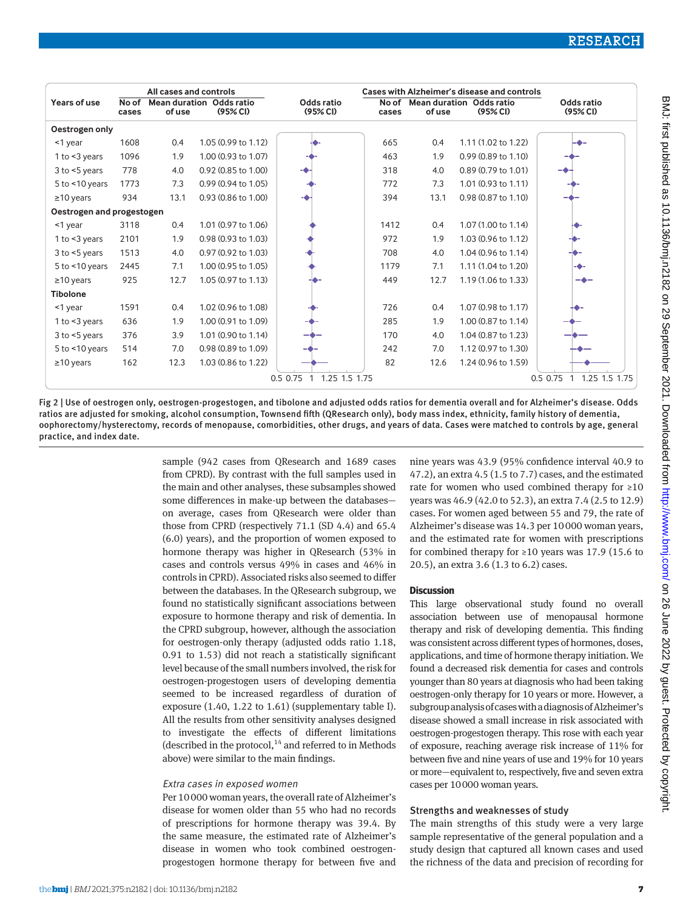|                           | All cases and controls |        |                                                 |                                           |                | Cases with Alzheimer's disease and controls |                                                        |                                   |
|---------------------------|------------------------|--------|-------------------------------------------------|-------------------------------------------|----------------|---------------------------------------------|--------------------------------------------------------|-----------------------------------|
| Years of use              | No of<br>cases         | of use | Mean duration Odds ratio<br>(95% <sub>C</sub> ) | Odds ratio<br>(95% <sub>C</sub> )         | No of<br>cases | of use                                      | <b>Mean duration Odds ratio</b><br>(95% <sub>C</sub> ) | Odds ratio<br>(95% <sub>C</sub> ) |
| Oestrogen only            |                        |        |                                                 |                                           |                |                                             |                                                        |                                   |
| <1 year                   | 1608                   | 0.4    | 1.05 (0.99 to 1.12)                             |                                           | 665            | 0.4                                         | 1.11 (1.02 to 1.22)                                    |                                   |
| 1 to $<$ 3 years          | 1096                   | 1.9    | 1.00 (0.93 to 1.07)                             |                                           | 463            | 1.9                                         | 0.99 (0.89 to 1.10)                                    |                                   |
| $3$ to $\leq$ 5 years     | 778                    | 4.0    | 0.92 (0.85 to 1.00)                             |                                           | 318            | 4.0                                         | 0.89 (0.79 to 1.01)                                    |                                   |
| $5$ to $\leq 10$ years    | 1773                   | 7.3    | 0.99 (0.94 to 1.05)                             |                                           | 772            | 7.3                                         | 1.01 (0.93 to 1.11)                                    |                                   |
| $\geq$ 10 years           | 934                    | 13.1   | 0.93 (0.86 to 1.00)                             |                                           | 394            | 13.1                                        | 0.98 (0.87 to 1.10)                                    |                                   |
| Oestrogen and progestogen |                        |        |                                                 |                                           |                |                                             |                                                        |                                   |
| <1 year                   | 3118                   | 0.4    | 1.01 (0.97 to 1.06)                             |                                           | 1412           | 0.4                                         | 1.07 (1.00 to 1.14)                                    |                                   |
| 1 to $<$ 3 years          | 2101                   | 1.9    | 0.98 (0.93 to 1.03)                             |                                           | 972            | 1.9                                         | 1.03 (0.96 to 1.12)                                    |                                   |
| $3$ to $5$ years          | 1513                   | 4.0    | 0.97 (0.92 to 1.03)                             |                                           | 708            | 4.0                                         | 1.04 (0.96 to 1.14)                                    |                                   |
| 5 to $<$ 10 years         | 2445                   | 7.1    | 1.00 (0.95 to 1.05)                             |                                           | 1179           | 7.1                                         | 1.11 (1.04 to 1.20)                                    |                                   |
| $\geq$ 10 years           | 925                    | 12.7   | 1.05 (0.97 to 1.13)                             |                                           | 449            | 12.7                                        | 1.19 (1.06 to 1.33)                                    | -0-                               |
| <b>Tibolone</b>           |                        |        |                                                 |                                           |                |                                             |                                                        |                                   |
| <1 year                   | 1591                   | 0.4    | 1.02 (0.96 to 1.08)                             |                                           | 726            | 0.4                                         | 1.07 (0.98 to 1.17)                                    |                                   |
| 1 to $<$ 3 years          | 636                    | 1.9    | 1.00 (0.91 to 1.09)                             |                                           | 285            | 1.9                                         | 1.00 (0.87 to 1.14)                                    |                                   |
| $3$ to $5$ years          | 376                    | 3.9    | 1.01 (0.90 to 1.14)                             |                                           | 170            | 4.0                                         | 1.04 (0.87 to 1.23)                                    |                                   |
| 5 to $<$ 10 years         | 514                    | 7.0    | 0.98 (0.89 to 1.09)                             |                                           | 242            | 7.0                                         | 1.12 (0.97 to 1.30)                                    |                                   |
| $\geq$ 10 years           | 162                    | 12.3   | 1.03 (0.86 to 1.22)                             |                                           | 82             | 12.6                                        | 1.24 (0.96 to 1.59)                                    |                                   |
|                           |                        |        |                                                 | 0.5 0.75<br>1.25 1.5 1.75<br>$\mathbf{1}$ |                |                                             |                                                        | 1.25 1.5 1.75<br>0.5 0.75         |

Fig 2 | Use of oestrogen only, oestrogen-progestogen, and tibolone and adjusted odds ratios for dementia overall and for Alzheimer's disease. Odds ratios are adjusted for smoking, alcohol consumption, Townsend fifth (QResearch only), body mass index, ethnicity, family history of dementia, oophorectomy/hysterectomy, records of menopause, comorbidities, other drugs, and years of data. Cases were matched to controls by age, general practice, and index date.

> sample (942 cases from QResearch and 1689 cases from CPRD). By contrast with the full samples used in the main and other analyses, these subsamples showed some differences in make-up between the databases on average, cases from QResearch were older than those from CPRD (respectively 71.1 (SD 4.4) and 65.4 (6.0) years), and the proportion of women exposed to hormone therapy was higher in QResearch (53% in cases and controls versus 49% in cases and 46% in controls in CPRD). Associated risks also seemed to differ between the databases. In the QResearch subgroup, we found no statistically significant associations between exposure to hormone therapy and risk of dementia. In the CPRD subgroup, however, although the association for oestrogen-only therapy (adjusted odds ratio 1.18, 0.91 to 1.53) did not reach a statistically significant level because of the small numbers involved, the risk for oestrogen-progestogen users of developing dementia seemed to be increased regardless of duration of exposure (1.40, 1.22 to 1.61) (supplementary table I). All the results from other sensitivity analyses designed to investigate the effects of different limitations (described in the protocol, $14$  and referred to in Methods above) were similar to the main findings.

## Extra cases in exposed women

Per 10000 woman years, the overall rate of Alzheimer's disease for women older than 55 who had no records of prescriptions for hormone therapy was 39.4. By the same measure, the estimated rate of Alzheimer's disease in women who took combined oestrogenprogestogen hormone therapy for between five and nine years was 43.9 (95% confidence interval 40.9 to 47.2), an extra 4.5 (1.5 to 7.7) cases, and the estimated rate for women who used combined therapy for ≥10 years was 46.9 (42.0 to 52.3), an extra 7.4 (2.5 to 12.9) cases. For women aged between 55 and 79, the rate of Alzheimer's disease was 14.3 per 10000 woman years, and the estimated rate for women with prescriptions for combined therapy for  $\geq 10$  years was 17.9 (15.6 to 20.5), an extra 3.6 (1.3 to 6.2) cases.

## **Discussion**

This large observational study found no overall association between use of menopausal hormone therapy and risk of developing dementia. This finding was consistent across different types of hormones, doses, applications, and time of hormone therapy initiation. We found a decreased risk dementia for cases and controls younger than 80 years at diagnosis who had been taking oestrogen-only therapy for 10 years or more. However, a subgroup analysis of cases with a diagnosis of Alzheimer's disease showed a small increase in risk associated with oestrogen-progestogen therapy. This rose with each year of exposure, reaching average risk increase of 11% for between five and nine years of use and 19% for 10 years or more—equivalent to, respectively, five and seven extra cases per 10000 woman years.

# Strengths and weaknesses of study

The main strengths of this study were a very large sample representative of the general population and a study design that captured all known cases and used the richness of the data and precision of recording for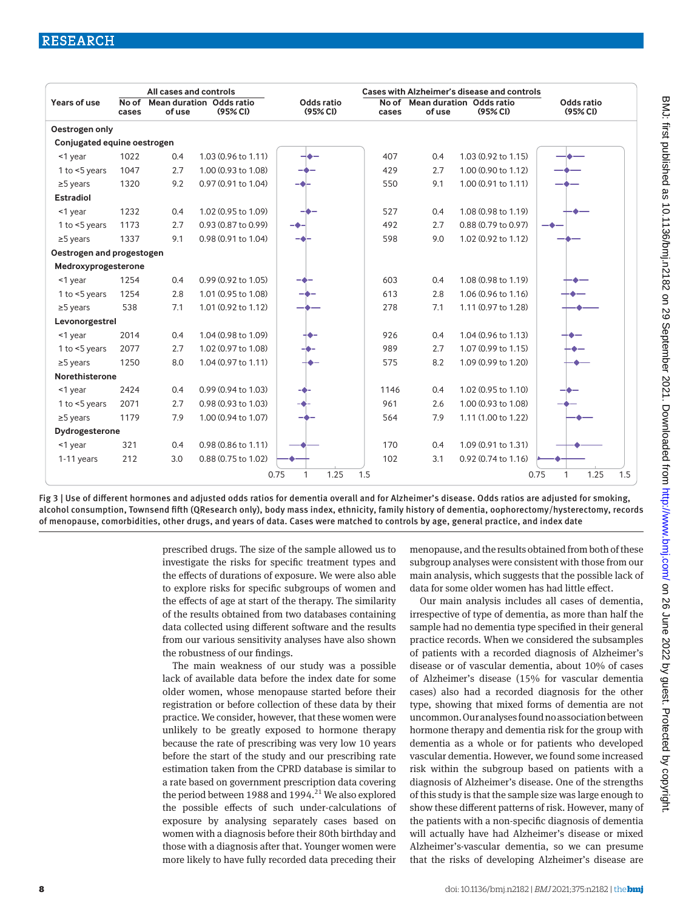| All cases and controls      |                |        |                                             |                                   | Cases with Alzheimer's disease and controls |        |                                                        |                          |  |
|-----------------------------|----------------|--------|---------------------------------------------|-----------------------------------|---------------------------------------------|--------|--------------------------------------------------------|--------------------------|--|
| Years of use                | No of<br>cases | of use | <b>Mean duration Odds ratio</b><br>(95% CI) | Odds ratio<br>(95% <sub>C</sub> ) | No of<br>cases                              | of use | <b>Mean duration Odds ratio</b><br>(95% <sub>C</sub> ) | Odds ratio<br>(95% CI)   |  |
| Oestrogen only              |                |        |                                             |                                   |                                             |        |                                                        |                          |  |
| Conjugated equine oestrogen |                |        |                                             |                                   |                                             |        |                                                        |                          |  |
| $<$ 1 year                  | 1022           | 0.4    | 1.03 (0.96 to 1.11)                         |                                   | 407                                         | 0.4    | 1.03 (0.92 to 1.15)                                    |                          |  |
| 1 to $<$ 5 years            | 1047           | 2.7    | 1.00 (0.93 to 1.08)                         |                                   | 429                                         | 2.7    | 1.00 (0.90 to 1.12)                                    |                          |  |
| $\geq$ 5 years              | 1320           | 9.2    | 0.97 (0.91 to 1.04)                         |                                   | 550                                         | 9.1    | 1.00 (0.91 to 1.11)                                    |                          |  |
| <b>Estradiol</b>            |                |        |                                             |                                   |                                             |        |                                                        |                          |  |
| <1 year                     | 1232           | 0.4    | 1.02 (0.95 to 1.09)                         |                                   | 527                                         | 0.4    | 1.08 (0.98 to 1.19)                                    |                          |  |
| 1 to $<$ 5 years            | 1173           | 2.7    | 0.93 (0.87 to 0.99)                         |                                   | 492                                         | 2.7    | 0.88 (0.79 to 0.97)                                    |                          |  |
| $\geq$ 5 years              | 1337           | 9.1    | 0.98 (0.91 to 1.04)                         |                                   | 598                                         | 9.0    | 1.02 (0.92 to 1.12)                                    |                          |  |
| Oestrogen and progestogen   |                |        |                                             |                                   |                                             |        |                                                        |                          |  |
| Medroxyprogesterone         |                |        |                                             |                                   |                                             |        |                                                        |                          |  |
| <1 year                     | 1254           | 0.4    | 0.99 (0.92 to 1.05)                         |                                   | 603                                         | 0.4    | 1.08 (0.98 to 1.19)                                    |                          |  |
| 1 to $<$ 5 years            | 1254           | 2.8    | 1.01 (0.95 to 1.08)                         |                                   | 613                                         | 2.8    | 1.06 (0.96 to 1.16)                                    |                          |  |
| $\geq$ 5 years              | 538            | 7.1    | 1.01 (0.92 to 1.12)                         |                                   | 278                                         | 7.1    | 1.11 (0.97 to 1.28)                                    |                          |  |
| Levonorgestrel              |                |        |                                             |                                   |                                             |        |                                                        |                          |  |
| <1 year                     | 2014           | 0.4    | 1.04 (0.98 to 1.09)                         |                                   | 926                                         | 0.4    | 1.04 (0.96 to 1.13)                                    |                          |  |
| 1 to $<$ 5 years            | 2077           | 2.7    | 1.02 (0.97 to 1.08)                         |                                   | 989                                         | 2.7    | 1.07 (0.99 to 1.15)                                    |                          |  |
| $\geq$ 5 years              | 1250           | 8.0    | 1.04 (0.97 to 1.11)                         |                                   | 575                                         | 8.2    | 1.09 (0.99 to 1.20)                                    |                          |  |
| Norethisterone              |                |        |                                             |                                   |                                             |        |                                                        |                          |  |
| <1 year                     | 2424           | 0.4    | 0.99 (0.94 to 1.03)                         |                                   | 1146                                        | 0.4    | 1.02 (0.95 to 1.10)                                    |                          |  |
| 1 to $<$ 5 years            | 2071           | 2.7    | 0.98 (0.93 to 1.03)                         |                                   | 961                                         | 2.6    | 1.00 (0.93 to 1.08)                                    |                          |  |
| $\geq$ 5 years              | 1179           | 7.9    | 1.00 (0.94 to 1.07)                         |                                   | 564                                         | 7.9    | 1.11 (1.00 to 1.22)                                    |                          |  |
| Dydrogesterone              |                |        |                                             |                                   |                                             |        |                                                        |                          |  |
| <1 year                     | 321            | 0.4    | 0.98 (0.86 to 1.11)                         |                                   | 170                                         | 0.4    | 1.09 (0.91 to 1.31)                                    |                          |  |
| 1-11 years                  | 212            | 3.0    | 0.88 (0.75 to 1.02)                         |                                   | 102                                         | 3.1    | 0.92 (0.74 to 1.16)                                    |                          |  |
|                             |                |        |                                             | 1.25<br>0.75<br>1                 | 1.5                                         |        |                                                        | 1.25<br>1.5<br>0.75<br>1 |  |

Fig 3 | Use of different hormones and adjusted odds ratios for dementia overall and for Alzheimer's disease. Odds ratios are adjusted for smoking, alcohol consumption, Townsend fifth (QResearch only), body mass index, ethnicity, family history of dementia, oophorectomy/hysterectomy, records of menopause, comorbidities, other drugs, and years of data. Cases were matched to controls by age, general practice, and index date

> prescribed drugs. The size of the sample allowed us to investigate the risks for specific treatment types and the effects of durations of exposure. We were also able to explore risks for specific subgroups of women and the effects of age at start of the therapy. The similarity of the results obtained from two databases containing data collected using different software and the results from our various sensitivity analyses have also shown the robustness of our findings.

> The main weakness of our study was a possible lack of available data before the index date for some older women, whose menopause started before their registration or before collection of these data by their practice. We consider, however, that these women were unlikely to be greatly exposed to hormone therapy because the rate of prescribing was very low 10 years before the start of the study and our prescribing rate estimation taken from the CPRD database is similar to a rate based on government prescription data covering the period between 1988 and 1994.<sup>21</sup> We also explored the possible effects of such under-calculations of exposure by analysing separately cases based on women with a diagnosis before their 80th birthday and those with a diagnosis after that. Younger women were more likely to have fully recorded data preceding their

menopause, and the results obtained from both of these subgroup analyses were consistent with those from our main analysis, which suggests that the possible lack of data for some older women has had little effect.

Our main analysis includes all cases of dementia, irrespective of type of dementia, as more than half the sample had no dementia type specified in their general practice records. When we considered the subsamples of patients with a recorded diagnosis of Alzheimer's disease or of vascular dementia, about 10% of cases of Alzheimer's disease (15% for vascular dementia cases) also had a recorded diagnosis for the other type, showing that mixed forms of dementia are not uncommon. Our analyses found no association between hormone therapy and dementia risk for the group with dementia as a whole or for patients who developed vascular dementia. However, we found some increased risk within the subgroup based on patients with a diagnosis of Alzheimer's disease. One of the strengths of this study is that the sample size was large enough to show these different patterns of risk. However, many of the patients with a non-specific diagnosis of dementia will actually have had Alzheimer's disease or mixed Alzheimer's-vascular dementia, so we can presume that the risks of developing Alzheimer's disease are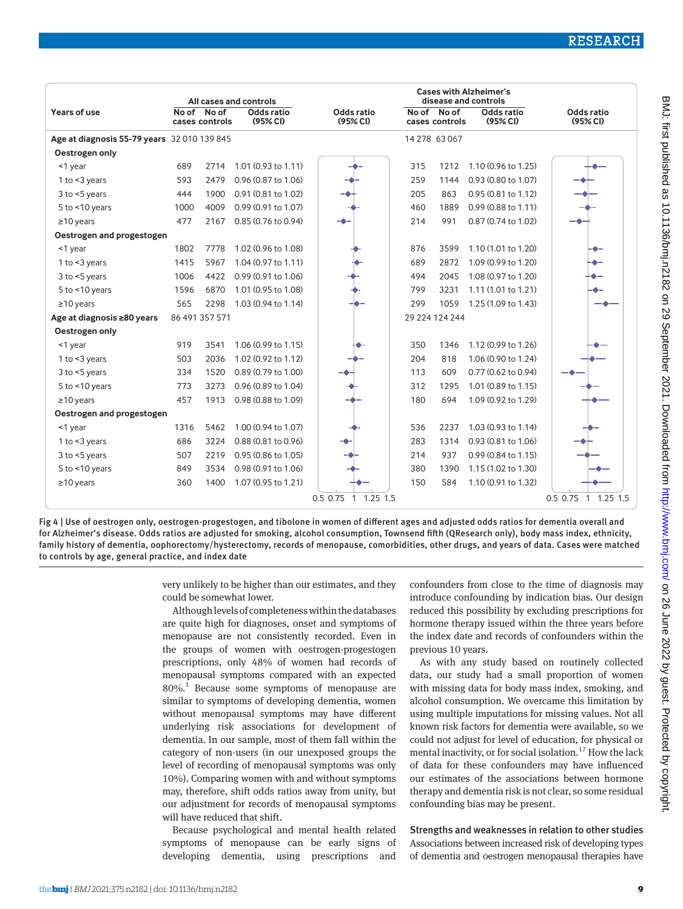|                                             | All cases and controls |                               |                                   |                                          | <b>Cases with Alzheimer's</b><br>disease and controls |                               |                        |                                   |  |
|---------------------------------------------|------------------------|-------------------------------|-----------------------------------|------------------------------------------|-------------------------------------------------------|-------------------------------|------------------------|-----------------------------------|--|
| Years of use                                |                        | No of No of<br>cases controls | Odds ratio<br>(95% <sub>C</sub> ) | Odds ratio<br>(95% CI)                   |                                                       | No of No of<br>cases controls | Odds ratio<br>(95% CI) | Odds ratio<br>(95% <sub>C</sub> ) |  |
| Age at diagnosis 55-79 years 32 010 139 845 |                        |                               |                                   |                                          | 14 278 63 067                                         |                               |                        |                                   |  |
| Oestrogen only                              |                        |                               |                                   |                                          |                                                       |                               |                        |                                   |  |
| <1 year                                     | 689                    | 2714                          | 1.01 (0.93 to 1.11)               |                                          | 315                                                   | 1212                          | 1.10 (0.96 to 1.25)    |                                   |  |
| 1 to $<$ 3 years                            | 593                    | 2479                          | 0.96 (0.87 to 1.06)               |                                          | 259                                                   | 1144                          | 0.93 (0.80 to 1.07)    |                                   |  |
| $3$ to $<$ 5 years                          | 444                    | 1900                          | 0.91 (0.81 to 1.02)               |                                          | 205                                                   | 863                           | 0.95 (0.81 to 1.12)    |                                   |  |
| $5$ to $<$ 10 years                         | 1000                   | 4009                          | 0.99 (0.91 to 1.07)               |                                          | 460                                                   | 1889                          | 0.99 (0.88 to 1.11)    |                                   |  |
| $\geq$ 10 years                             | 477                    | 2167                          | 0.85 (0.76 to 0.94)               |                                          | 214                                                   | 991                           | 0.87 (0.74 to 1.02)    |                                   |  |
| Oestrogen and progestogen                   |                        |                               |                                   |                                          |                                                       |                               |                        |                                   |  |
| $<$ 1 year                                  | 1802                   | 7778                          | 1.02 (0.96 to 1.08)               |                                          | 876                                                   | 3599                          | 1.10 (1.01 to 1.20)    |                                   |  |
| 1 to <3 years                               | 1415                   | 5967                          | 1.04 (0.97 to 1.11)               |                                          | 689                                                   | 2872                          | 1.09 (0.99 to 1.20)    |                                   |  |
| $3$ to $<$ 5 years                          | 1006                   | 4422                          | 0.99 (0.91 to 1.06)               |                                          | 494                                                   | 2045                          | 1.08 (0.97 to 1.20)    |                                   |  |
| $5$ to $<$ 10 years                         | 1596                   | 6870                          | 1.01 (0.95 to 1.08)               |                                          | 799                                                   | 3231                          | 1.11 (1.01 to 1.21)    |                                   |  |
| $\geq$ 10 years                             | 565                    | 2298                          | 1.03 (0.94 to 1.14)               |                                          | 299                                                   | 1059                          | 1.25 (1.09 to 1.43)    |                                   |  |
| Age at diagnosis ≥80 years                  |                        | 86 491 357 571                |                                   |                                          |                                                       | 29 224 124 244                |                        |                                   |  |
| Oestrogen only                              |                        |                               |                                   |                                          |                                                       |                               |                        |                                   |  |
| $<$ 1 year                                  | 919                    | 3541                          | 1.06 (0.99 to 1.15)               |                                          | 350                                                   | 1346                          | 1.12 (0.99 to 1.26)    |                                   |  |
| 1 to $<$ 3 years                            | 503                    | 2036                          | 1.02 (0.92 to 1.12)               |                                          | 204                                                   | 818                           | 1.06 (0.90 to 1.24)    |                                   |  |
| $3$ to $<$ 5 years                          | 334                    | 1520                          | 0.89 (0.79 to 1.00)               |                                          | 113                                                   | 609                           | 0.77 (0.62 to 0.94)    |                                   |  |
| $5$ to $<$ 10 years                         | 773                    | 3273                          | 0.96 (0.89 to 1.04)               |                                          | 312                                                   | 1295                          | 1.01 (0.89 to 1.15)    |                                   |  |
| $\geq$ 10 years                             | 457                    | 1913                          | 0.98 (0.88 to 1.09)               |                                          | 180                                                   | 694                           | 1.09 (0.92 to 1.29)    |                                   |  |
| Oestrogen and progestogen                   |                        |                               |                                   |                                          |                                                       |                               |                        |                                   |  |
| <1 year                                     | 1316                   | 5462                          | 1.00 (0.94 to 1.07)               |                                          | 536                                                   | 2237                          | 1.03 (0.93 to 1.14)    |                                   |  |
| 1 to $<$ 3 years                            | 686                    | 3224                          | 0.88 (0.81 to 0.96)               |                                          | 283                                                   | 1314                          | 0.93 (0.81 to 1.06)    |                                   |  |
| $3$ to $<$ 5 years                          | 507                    | 2219                          | 0.95 (0.86 to 1.05)               |                                          | 214                                                   | 937                           | 0.99 (0.84 to 1.15)    |                                   |  |
| 5 to <10 years                              | 849                    | 3534                          | 0.98 (0.91 to 1.06)               |                                          | 380                                                   | 1390                          | 1.15 (1.02 to 1.30)    |                                   |  |
| $\geq$ 10 years                             | 360                    | 1400                          | 1.07 (0.95 to 1.21)               |                                          | 150                                                   | 584                           | 1.10 (0.91 to 1.32)    |                                   |  |
|                                             |                        |                               |                                   | $0.5$ 0.75<br>$1.25$ 1.5<br>$\mathbf{1}$ |                                                       |                               |                        | $0.5$ 0.75<br>$1.25$ 1.5<br>1     |  |

Fig 4 | Use of oestrogen only, oestrogen-progestogen, and tibolone in women of different ages and adjusted odds ratios for dementia overall and for Alzheimer's disease. Odds ratios are adjusted for smoking, alcohol consumption, Townsend fifth (QResearch only), body mass index, ethnicity, family history of dementia, oophorectomy/hysterectomy, records of menopause, comorbidities, other drugs, and years of data. Cases were matched to controls by age, general practice, and index date

> very unlikely to be higher than our estimates, and they could be somewhat lower.

> Although levels of completeness within the databases are quite high for diagnoses, onset and symptoms of menopause are not consistently recorded. Even in the groups of women with oestrogen-progestogen prescriptions, only 48% of women had records of menopausal symptoms compared with an expected 80%.1 Because some symptoms of menopause are similar to symptoms of developing dementia, women without menopausal symptoms may have different underlying risk associations for development of dementia. In our sample, most of them fall within the category of non-users (in our unexposed groups the level of recording of menopausal symptoms was only 10%). Comparing women with and without symptoms may, therefore, shift odds ratios away from unity, but our adjustment for records of menopausal symptoms will have reduced that shift.

> Because psychological and mental health related symptoms of menopause can be early signs of developing dementia, using prescriptions and

confounders from close to the time of diagnosis may introduce confounding by indication bias. Our design reduced this possibility by excluding prescriptions for hormone therapy issued within the three years before the index date and records of confounders within the previous 10 years.

As with any study based on routinely collected data, our study had a small proportion of women with missing data for body mass index, smoking, and alcohol consumption. We overcame this limitation by using multiple imputations for missing values. Not all known risk factors for dementia were available, so we could not adjust for level of education, for physical or mental inactivity, or for social isolation.<sup>17</sup> How the lack of data for these confounders may have influenced our estimates of the associations between hormone therapy and dementia risk is not clear, so some residual confounding bias may be present.

Strengths and weaknesses in relation to other studies Associations between increased risk of developing types of dementia and oestrogen menopausal therapies have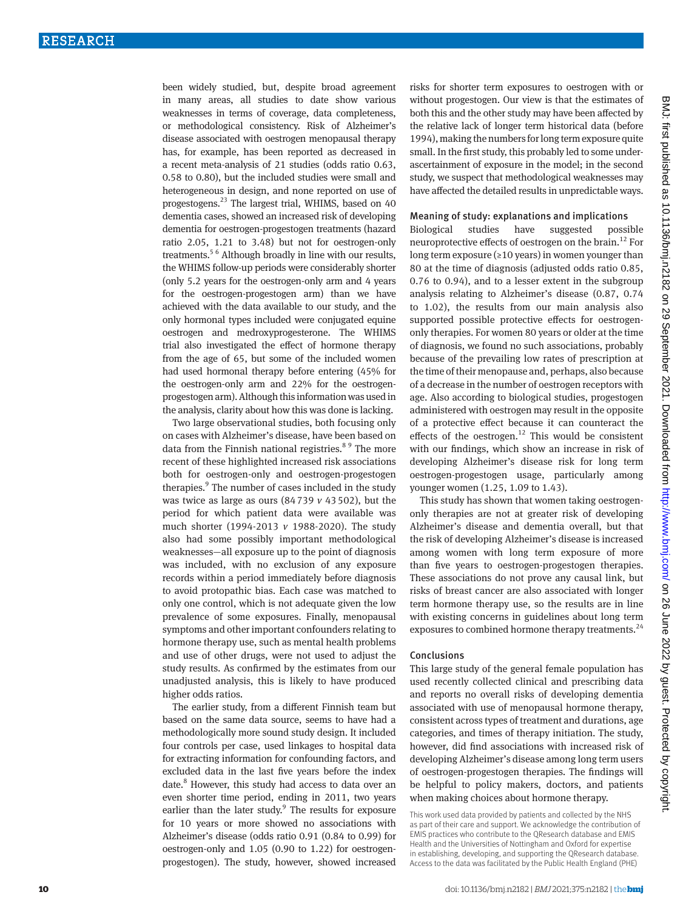been widely studied, but, despite broad agreement in many areas, all studies to date show various weaknesses in terms of coverage, data completeness, or methodological consistency. Risk of Alzheimer's disease associated with oestrogen menopausal therapy has, for example, has been reported as decreased in a recent meta-analysis of 21 studies (odds ratio 0.63, 0.58 to 0.80), but the included studies were small and heterogeneous in design, and none reported on use of progestogens.23 The largest trial, WHIMS, based on 40 dementia cases, showed an increased risk of developing dementia for oestrogen-progestogen treatments (hazard ratio 2.05, 1.21 to 3.48) but not for oestrogen-only treatments.5 6 Although broadly in line with our results, the WHIMS follow-up periods were considerably shorter (only 5.2 years for the oestrogen-only arm and 4 years for the oestrogen-progestogen arm) than we have achieved with the data available to our study, and the only hormonal types included were conjugated equine oestrogen and medroxyprogesterone. The WHIMS trial also investigated the effect of hormone therapy from the age of 65, but some of the included women had used hormonal therapy before entering (45% for the oestrogen-only arm and 22% for the oestrogenprogestogen arm). Although this information was used in the analysis, clarity about how this was done is lacking.

Two large observational studies, both focusing only on cases with Alzheimer's disease, have been based on data from the Finnish national registries.<sup>89</sup> The more recent of these highlighted increased risk associations both for oestrogen-only and oestrogen-progestogen therapies.<sup>9</sup> The number of cases included in the study was twice as large as ours  $(84739 \nu 43502)$ , but the period for which patient data were available was much shorter (1994-2013 *v* 1988-2020). The study also had some possibly important methodological weaknesses—all exposure up to the point of diagnosis was included, with no exclusion of any exposure records within a period immediately before diagnosis to avoid protopathic bias. Each case was matched to only one control, which is not adequate given the low prevalence of some exposures. Finally, menopausal symptoms and other important confounders relating to hormone therapy use, such as mental health problems and use of other drugs, were not used to adjust the study results. As confirmed by the estimates from our unadjusted analysis, this is likely to have produced higher odds ratios.

The earlier study, from a different Finnish team but based on the same data source, seems to have had a methodologically more sound study design. It included four controls per case, used linkages to hospital data for extracting information for confounding factors, and excluded data in the last five years before the index date.<sup>8</sup> However, this study had access to data over an even shorter time period, ending in 2011, two years earlier than the later study. $9$  The results for exposure for 10 years or more showed no associations with Alzheimer's disease (odds ratio 0.91 (0.84 to 0.99) for oestrogen-only and 1.05 (0.90 to 1.22) for oestrogenprogestogen). The study, however, showed increased

risks for shorter term exposures to oestrogen with or without progestogen. Our view is that the estimates of both this and the other study may have been affected by the relative lack of longer term historical data (before 1994), making the numbers for long term exposure quite small. In the first study, this probably led to some underascertainment of exposure in the model; in the second study, we suspect that methodological weaknesses may have affected the detailed results in unpredictable ways.

## Meaning of study: explanations and implications

Biological studies have suggested possible neuroprotective effects of oestrogen on the brain.<sup>12</sup> For long term exposure (≥10 years) in women younger than 80 at the time of diagnosis (adjusted odds ratio 0.85, 0.76 to 0.94), and to a lesser extent in the subgroup analysis relating to Alzheimer's disease (0.87, 0.74 to 1.02), the results from our main analysis also supported possible protective effects for oestrogenonly therapies. For women 80 years or older at the time of diagnosis, we found no such associations, probably because of the prevailing low rates of prescription at the time of their menopause and, perhaps, also because of a decrease in the number of oestrogen receptors with age. Also according to biological studies, progestogen administered with oestrogen may result in the opposite of a protective effect because it can counteract the effects of the oestrogen.<sup>12</sup> This would be consistent with our findings, which show an increase in risk of developing Alzheimer's disease risk for long term oestrogen-progestogen usage, particularly among younger women (1.25, 1.09 to 1.43).

This study has shown that women taking oestrogenonly therapies are not at greater risk of developing Alzheimer's disease and dementia overall, but that the risk of developing Alzheimer's disease is increased among women with long term exposure of more than five years to oestrogen-progestogen therapies. These associations do not prove any causal link, but risks of breast cancer are also associated with longer term hormone therapy use, so the results are in line with existing concerns in guidelines about long term exposures to combined hormone therapy treatments.<sup>24</sup>

## Conclusions

This large study of the general female population has used recently collected clinical and prescribing data and reports no overall risks of developing dementia associated with use of menopausal hormone therapy, consistent across types of treatment and durations, age categories, and times of therapy initiation. The study, however, did find associations with increased risk of developing Alzheimer's disease among long term users of oestrogen-progestogen therapies. The findings will be helpful to policy makers, doctors, and patients when making choices about hormone therapy.

This work used data provided by patients and collected by the NHS as part of their care and support. We acknowledge the contribution of EMIS practices who contribute to the QResearch database and EMIS Health and the Universities of Nottingham and Oxford for expertise in establishing, developing, and supporting the QResearch database. Access to the data was facilitated by the Public Health England (PHE)